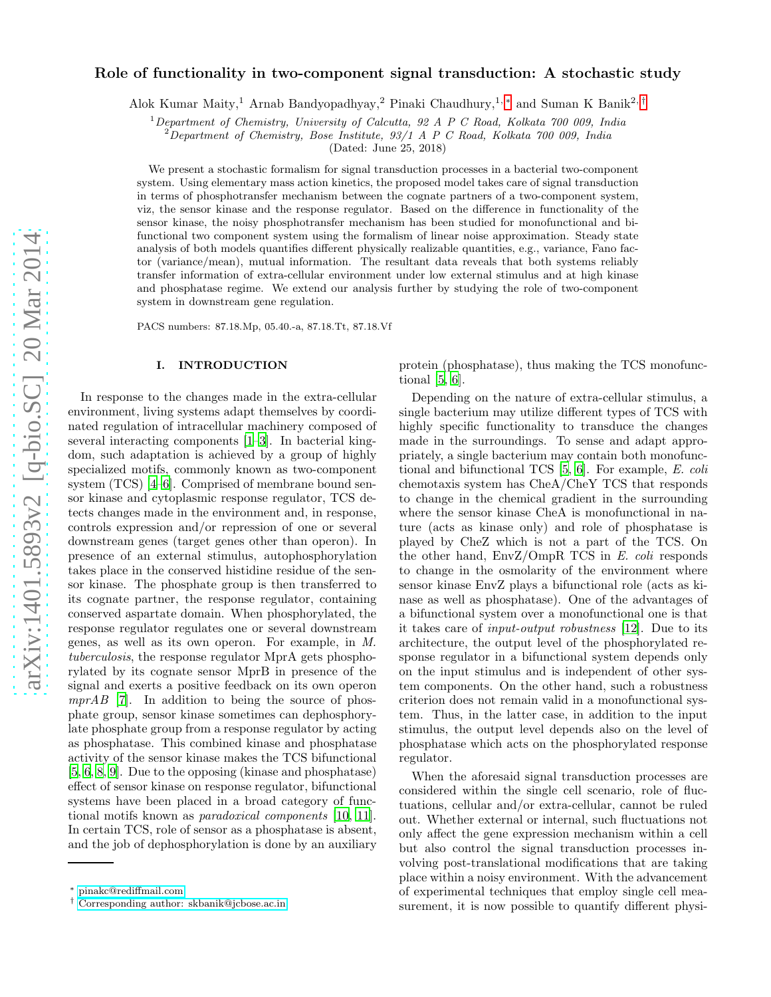# Role of functionality in two-component signal transduction: A stochastic study

Alok Kumar Maity,<sup>1</sup> Arnab Bandyopadhyay,<sup>2</sup> Pinaki Chaudhury,1, [∗](#page-0-0) and Suman K Banik2, [†](#page-0-1)

<sup>1</sup>Department of Chemistry, University of Calcutta, 92 A P C Road, Kolkata 700 009, India

 $^{2}$ Department of Chemistry, Bose Institute, 93/1 A P C Road, Kolkata 700 009, India

(Dated: June 25, 2018)

We present a stochastic formalism for signal transduction processes in a bacterial two-component system. Using elementary mass action kinetics, the proposed model takes care of signal transduction in terms of phosphotransfer mechanism between the cognate partners of a two-component system, viz, the sensor kinase and the response regulator. Based on the difference in functionality of the sensor kinase, the noisy phosphotransfer mechanism has been studied for monofunctional and bifunctional two component system using the formalism of linear noise approximation. Steady state analysis of both models quantifies different physically realizable quantities, e.g., variance, Fano factor (variance/mean), mutual information. The resultant data reveals that both systems reliably transfer information of extra-cellular environment under low external stimulus and at high kinase and phosphatase regime. We extend our analysis further by studying the role of two-component system in downstream gene regulation.

PACS numbers: 87.18.Mp, 05.40.-a, 87.18.Tt, 87.18.Vf

# I. INTRODUCTION

In response to the changes made in the extra-cellular environment, living systems adapt themselves by coordinated regulation of intracellular machinery composed of several interacting components [\[1](#page-9-0)[–3](#page-9-1)]. In bacterial kingdom, such adaptation is achieved by a group of highly specialized motifs, commonly known as two-component system (TCS) [\[4](#page-9-2)[–6\]](#page-9-3). Comprised of membrane bound sensor kinase and cytoplasmic response regulator, TCS detects changes made in the environment and, in response, controls expression and/or repression of one or several downstream genes (target genes other than operon). In presence of an external stimulus, autophosphorylation takes place in the conserved histidine residue of the sensor kinase. The phosphate group is then transferred to its cognate partner, the response regulator, containing conserved aspartate domain. When phosphorylated, the response regulator regulates one or several downstream genes, as well as its own operon. For example, in M. tuberculosis, the response regulator MprA gets phosphorylated by its cognate sensor MprB in presence of the signal and exerts a positive feedback on its own operon  $mprAB$  [\[7\]](#page-9-4). In addition to being the source of phosphate group, sensor kinase sometimes can dephosphorylate phosphate group from a response regulator by acting as phosphatase. This combined kinase and phosphatase activity of the sensor kinase makes the TCS bifunctional [\[5,](#page-9-5) [6,](#page-9-3) [8](#page-9-6), [9](#page-9-7)]. Due to the opposing (kinase and phosphatase) effect of sensor kinase on response regulator, bifunctional systems have been placed in a broad category of functional motifs known as paradoxical components [\[10](#page-9-8), [11\]](#page-9-9). In certain TCS, role of sensor as a phosphatase is absent, and the job of dephosphorylation is done by an auxiliary

protein (phosphatase), thus making the TCS monofunctional [\[5](#page-9-5), [6](#page-9-3)].

Depending on the nature of extra-cellular stimulus, a single bacterium may utilize different types of TCS with highly specific functionality to transduce the changes made in the surroundings. To sense and adapt appropriately, a single bacterium may contain both monofunctional and bifunctional TCS [\[5,](#page-9-5) [6\]](#page-9-3). For example, E. coli chemotaxis system has CheA/CheY TCS that responds to change in the chemical gradient in the surrounding where the sensor kinase CheA is monofunctional in nature (acts as kinase only) and role of phosphatase is played by CheZ which is not a part of the TCS. On the other hand, EnvZ/OmpR TCS in E. coli responds to change in the osmolarity of the environment where sensor kinase EnvZ plays a bifunctional role (acts as kinase as well as phosphatase). One of the advantages of a bifunctional system over a monofunctional one is that it takes care of input-output robustness [\[12](#page-9-10)]. Due to its architecture, the output level of the phosphorylated response regulator in a bifunctional system depends only on the input stimulus and is independent of other system components. On the other hand, such a robustness criterion does not remain valid in a monofunctional system. Thus, in the latter case, in addition to the input stimulus, the output level depends also on the level of phosphatase which acts on the phosphorylated response regulator.

When the aforesaid signal transduction processes are considered within the single cell scenario, role of fluctuations, cellular and/or extra-cellular, cannot be ruled out. Whether external or internal, such fluctuations not only affect the gene expression mechanism within a cell but also control the signal transduction processes involving post-translational modifications that are taking place within a noisy environment. With the advancement of experimental techniques that employ single cell measurement, it is now possible to quantify different physi-

<span id="page-0-0"></span><sup>∗</sup> [pinakc@rediffmail.com](mailto:pinakc@rediffmail.com)

<span id="page-0-1"></span><sup>†</sup> [Corresponding author: skbanik@jcbose.ac.in](mailto:Corresponding author: skbanik@jcbose.ac.in)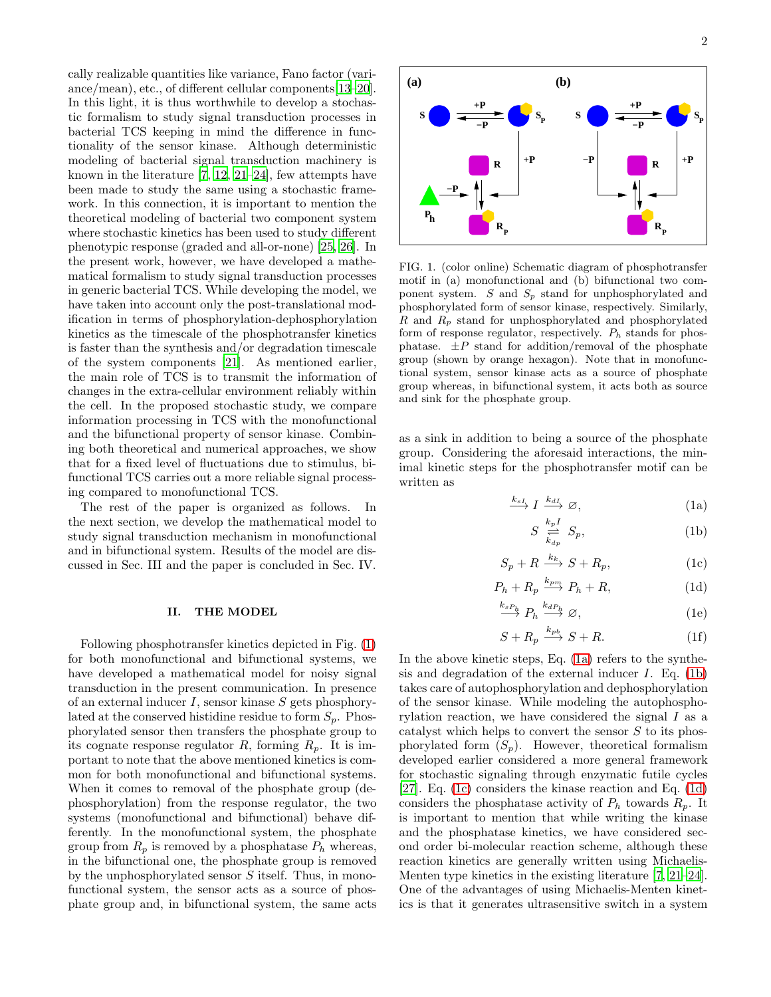cally realizable quantities like variance, Fano factor (variance/mean), etc., of different cellular components[\[13](#page-9-11)[–20\]](#page-9-12). In this light, it is thus worthwhile to develop a stochastic formalism to study signal transduction processes in bacterial TCS keeping in mind the difference in functionality of the sensor kinase. Although deterministic modeling of bacterial signal transduction machinery is known in the literature [\[7,](#page-9-4) [12,](#page-9-10) [21](#page-10-0)[–24](#page-10-1)], few attempts have been made to study the same using a stochastic framework. In this connection, it is important to mention the theoretical modeling of bacterial two component system where stochastic kinetics has been used to study different phenotypic response (graded and all-or-none) [\[25,](#page-10-2) [26](#page-10-3)]. In the present work, however, we have developed a mathematical formalism to study signal transduction processes in generic bacterial TCS. While developing the model, we have taken into account only the post-translational modification in terms of phosphorylation-dephosphorylation kinetics as the timescale of the phosphotransfer kinetics is faster than the synthesis and/or degradation timescale of the system components [\[21\]](#page-10-0). As mentioned earlier, the main role of TCS is to transmit the information of changes in the extra-cellular environment reliably within the cell. In the proposed stochastic study, we compare information processing in TCS with the monofunctional and the bifunctional property of sensor kinase. Combining both theoretical and numerical approaches, we show that for a fixed level of fluctuations due to stimulus, bifunctional TCS carries out a more reliable signal processing compared to monofunctional TCS.

The rest of the paper is organized as follows. In the next section, we develop the mathematical model to study signal transduction mechanism in monofunctional and in bifunctional system. Results of the model are discussed in Sec. III and the paper is concluded in Sec. IV.

#### II. THE MODEL

Following phosphotransfer kinetics depicted in Fig. [\(1\)](#page-1-0) for both monofunctional and bifunctional systems, we have developed a mathematical model for noisy signal transduction in the present communication. In presence of an external inducer  $I$ , sensor kinase  $S$  gets phosphorylated at the conserved histidine residue to form  $S_p$ . Phosphorylated sensor then transfers the phosphate group to its cognate response regulator R, forming  $R_p$ . It is important to note that the above mentioned kinetics is common for both monofunctional and bifunctional systems. When it comes to removal of the phosphate group (dephosphorylation) from the response regulator, the two systems (monofunctional and bifunctional) behave differently. In the monofunctional system, the phosphate group from  $R_p$  is removed by a phosphatase  $P_h$  whereas, in the bifunctional one, the phosphate group is removed by the unphosphorylated sensor  $S$  itself. Thus, in monofunctional system, the sensor acts as a source of phosphate group and, in bifunctional system, the same acts



<span id="page-1-0"></span>FIG. 1. (color online) Schematic diagram of phosphotransfer motif in (a) monofunctional and (b) bifunctional two component system.  $S$  and  $S_p$  stand for unphosphorylated and phosphorylated form of sensor kinase, respectively. Similarly,  $R$  and  $R_p$  stand for unphosphorylated and phosphorylated form of response regulator, respectively.  $P_h$  stands for phosphatase.  $\pm P$  stand for addition/removal of the phosphate group (shown by orange hexagon). Note that in monofunctional system, sensor kinase acts as a source of phosphate group whereas, in bifunctional system, it acts both as source and sink for the phosphate group.

as a sink in addition to being a source of the phosphate group. Considering the aforesaid interactions, the minimal kinetic steps for the phosphotransfer motif can be written as

<span id="page-1-1"></span>
$$
\xrightarrow{k_{sI}} I \xrightarrow{k_{dI}} \varnothing,
$$
\n(1a)

$$
S \underset{k_{dp}}{\overset{k_p I}{\rightleftharpoons}} S_p, \tag{1b}
$$

$$
S_p + R \xrightarrow{k_k} S + R_p, \tag{1c}
$$

$$
P_h + R_p \xrightarrow{k_{pm}} P_h + R,\tag{1d}
$$

$$
\xrightarrow{k_{sP_h}} P_h \xrightarrow{k_{dP_h}} \varnothing,
$$
\n(1e)

$$
S + R_p \xrightarrow{k_{pb}} S + R. \tag{1f}
$$

In the above kinetic steps, Eq. [\(1a\)](#page-1-1) refers to the synthesis and degradation of the external inducer  $I$ . Eq. [\(1b\)](#page-1-1) takes care of autophosphorylation and dephosphorylation of the sensor kinase. While modeling the autophosphorylation reaction, we have considered the signal I as a catalyst which helps to convert the sensor S to its phosphorylated form  $(S_p)$ . However, theoretical formalism developed earlier considered a more general framework for stochastic signaling through enzymatic futile cycles [\[27\]](#page-10-4). Eq. [\(1c\)](#page-1-1) considers the kinase reaction and Eq. [\(1d\)](#page-1-1) considers the phosphatase activity of  $P_h$  towards  $R_p$ . It is important to mention that while writing the kinase and the phosphatase kinetics, we have considered second order bi-molecular reaction scheme, although these reaction kinetics are generally written using Michaelis-Menten type kinetics in the existing literature [\[7,](#page-9-4) [21](#page-10-0)[–24\]](#page-10-1). One of the advantages of using Michaelis-Menten kinetics is that it generates ultrasensitive switch in a system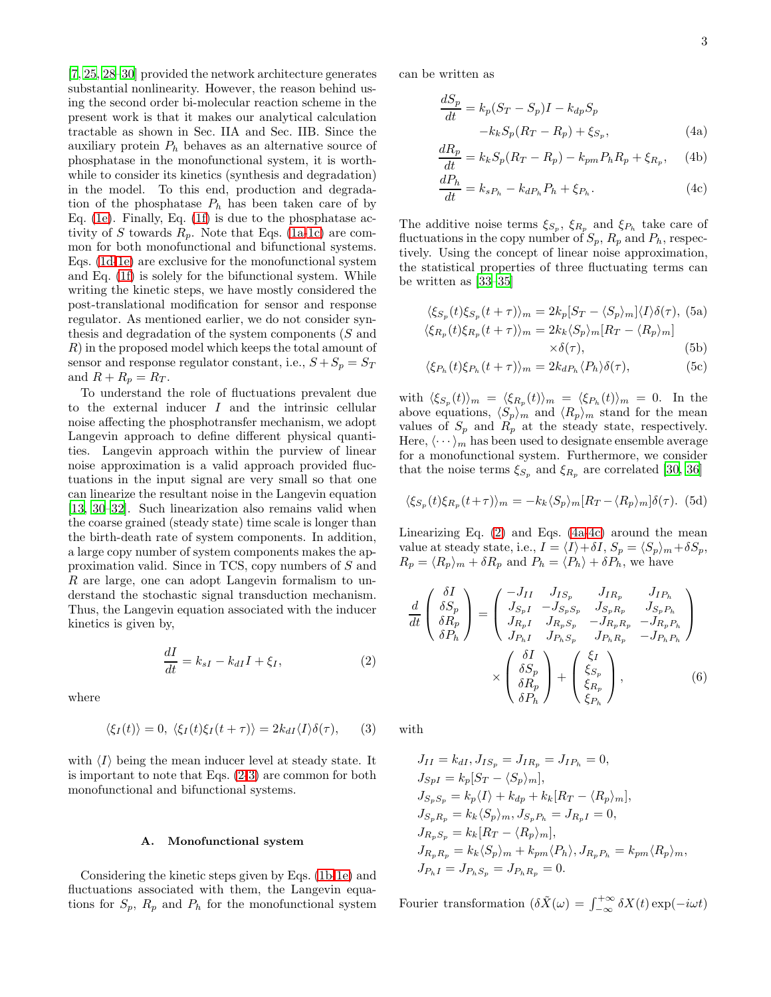[\[7,](#page-9-4) [25,](#page-10-2) [28](#page-10-5)[–30\]](#page-10-6) provided the network architecture generates substantial nonlinearity. However, the reason behind using the second order bi-molecular reaction scheme in the present work is that it makes our analytical calculation tractable as shown in Sec. IIA and Sec. IIB. Since the auxiliary protein  $P_h$  behaves as an alternative source of phosphatase in the monofunctional system, it is worthwhile to consider its kinetics (synthesis and degradation) in the model. To this end, production and degradation of the phosphatase  $P_h$  has been taken care of by Eq. [\(1e\)](#page-1-1). Finally, Eq. [\(1f\)](#page-1-1) is due to the phosphatase activity of S towards  $R_p$ . Note that Eqs. [\(1a-1c\)](#page-1-1) are common for both monofunctional and bifunctional systems. Eqs. [\(1d-1e\)](#page-1-1) are exclusive for the monofunctional system and Eq. [\(1f\)](#page-1-1) is solely for the bifunctional system. While writing the kinetic steps, we have mostly considered the post-translational modification for sensor and response regulator. As mentioned earlier, we do not consider synthesis and degradation of the system components (S and R) in the proposed model which keeps the total amount of sensor and response regulator constant, i.e.,  $S + S_p = S_T$ and  $R + R_p = R_T$ .

To understand the role of fluctuations prevalent due to the external inducer I and the intrinsic cellular noise affecting the phosphotransfer mechanism, we adopt Langevin approach to define different physical quantities. Langevin approach within the purview of linear noise approximation is a valid approach provided fluctuations in the input signal are very small so that one can linearize the resultant noise in the Langevin equation [\[13,](#page-9-11) [30](#page-10-6)[–32\]](#page-10-7). Such linearization also remains valid when the coarse grained (steady state) time scale is longer than the birth-death rate of system components. In addition, a large copy number of system components makes the approximation valid. Since in TCS, copy numbers of S and R are large, one can adopt Langevin formalism to understand the stochastic signal transduction mechanism. Thus, the Langevin equation associated with the inducer kinetics is given by,

<span id="page-2-0"></span>
$$
\frac{dI}{dt} = k_{sI} - k_{dI}I + \xi_I,\tag{2}
$$

where

<span id="page-2-1"></span>
$$
\langle \xi_I(t) \rangle = 0, \ \langle \xi_I(t) \xi_I(t+\tau) \rangle = 2k_{dI} \langle I \rangle \delta(\tau), \qquad (3)
$$

with  $\langle I \rangle$  being the mean inducer level at steady state. It is important to note that Eqs. [\(2-](#page-2-0)[3\)](#page-2-1) are common for both monofunctional and bifunctional systems.

## A. Monofunctional system

Considering the kinetic steps given by Eqs. [\(1b-1e\)](#page-1-1) and fluctuations associated with them, the Langevin equations for  $S_p$ ,  $R_p$  and  $P_h$  for the monofunctional system can be written as

<span id="page-2-2"></span>
$$
\frac{dS_p}{dt} = k_p(S_T - S_p)I - k_{dp}S_p
$$

$$
-k_k S_p(R_T - R_p) + \xi_{S_p},
$$
(4a)

$$
\frac{dR_p}{dt} = k_k S_p (R_T - R_p) - k_{pm} P_h R_p + \xi_{R_p}, \quad \text{(4b)}
$$

$$
\frac{dP_h}{dt} = k_{sP_h} - k_{dP_h}P_h + \xi_{P_h}.\tag{4c}
$$

The additive noise terms  $\xi_{S_p}$ ,  $\xi_{R_p}$  and  $\xi_{P_h}$  take care of fluctuations in the copy number of  $S_p$ ,  $R_p$  and  $P_h$ , respectively. Using the concept of linear noise approximation, the statistical properties of three fluctuating terms can be written as [\[33–](#page-10-8)[35\]](#page-10-9)

<span id="page-2-4"></span>
$$
\langle \xi_{S_p}(t)\xi_{S_p}(t+\tau)\rangle_m = 2k_p[S_T - \langle S_p\rangle_m]\langle I\rangle\delta(\tau), \text{ (5a)}
$$
  

$$
\langle \xi_{R_p}(t)\xi_{R_p}(t+\tau)\rangle_m = 2k_k\langle S_p\rangle_m[R_T - \langle R_p\rangle_m]
$$
  

$$
\times \delta(\tau), \tag{5b}
$$

<span id="page-2-5"></span>
$$
\langle \xi_{P_h}(t)\xi_{P_h}(t+\tau)\rangle_m = 2k_{dP_h}\langle P_h\rangle \delta(\tau),\tag{5c}
$$

with  $\langle \xi_{S_p}(t) \rangle_m = \langle \xi_{R_p}(t) \rangle_m = \langle \xi_{P_h}(t) \rangle_m = 0$ . In the above equations,  $\langle S_p \rangle_m$  and  $\langle R_p \rangle_m$  stand for the mean values of  $S_p$  and  $R_p$  at the steady state, respectively. Here,  $\langle \cdots \rangle_m$  has been used to designate ensemble average for a monofunctional system. Furthermore, we consider that the noise terms  $\xi_{S_p}$  and  $\xi_{R_p}$  are correlated [\[30,](#page-10-6) [36\]](#page-10-10)

$$
\langle \xi_{S_p}(t)\xi_{R_p}(t+\tau)\rangle_m = -k_k \langle S_p\rangle_m [R_T - \langle R_p\rangle_m] \delta(\tau). \tag{5d}
$$

Linearizing Eq. [\(2\)](#page-2-0) and Eqs. [\(4a-4c\)](#page-2-2) around the mean value at steady state, i.e.,  $I = \langle I \rangle + \delta I$ ,  $S_p = \langle S_p \rangle_m + \delta S_p$ ,  $R_p = \langle R_p \rangle_m + \delta R_p$  and  $P_h = \langle P_h \rangle + \delta P_h$ , we have

<span id="page-2-3"></span>
$$
\frac{d}{dt} \begin{pmatrix} \delta I \\ \delta S_p \\ \delta R_p \\ \delta P_h \end{pmatrix} = \begin{pmatrix} -J_{II} & J_{IS_p} & J_{IR_p} & J_{IP_h} \\ J_{S_p I} & -J_{S_p S_p} & J_{S_p R_p} & J_{S_p P_h} \\ J_{R_p I} & J_{R_p S_p} & -J_{R_p R_p} & -J_{R_p P_h} \\ J_{P_h I} & J_{P_h S_p} & J_{P_h R_p} & -J_{P_h P_h} \end{pmatrix}
$$

$$
\times \begin{pmatrix} \delta I \\ \delta S_p \\ \delta R_p \\ \delta P_h \end{pmatrix} + \begin{pmatrix} \xi_I \\ \xi_{S_p} \\ \xi_{R_p} \\ \xi_{P_h} \end{pmatrix}, \tag{6}
$$

with

$$
J_{II} = k_{dI}, J_{IS_p} = J_{IR_p} = J_{IP_h} = 0,
$$
  
\n
$$
J_{SpI} = k_p[S_T - \langle S_p \rangle_m],
$$
  
\n
$$
J_{S_p S_p} = k_p \langle I \rangle + k_{dp} + k_k [R_T - \langle R_p \rangle_m],
$$
  
\n
$$
J_{S_p R_p} = k_k \langle S_p \rangle_m, J_{S_p P_h} = J_{R_p I} = 0,
$$
  
\n
$$
J_{R_p S_p} = k_k [R_T - \langle R_p \rangle_m],
$$
  
\n
$$
J_{R_p R_p} = k_k \langle S_p \rangle_m + k_{pm} \langle P_h \rangle, J_{R_p P_h} = k_{pm} \langle R_p \rangle_m,
$$
  
\n
$$
J_{P_h I} = J_{P_h S_p} = J_{P_h R_p} = 0.
$$

Fourier transformation  $(\delta \tilde{X}(\omega) = \int_{-\infty}^{+\infty} \delta X(t) \exp(-i\omega t)$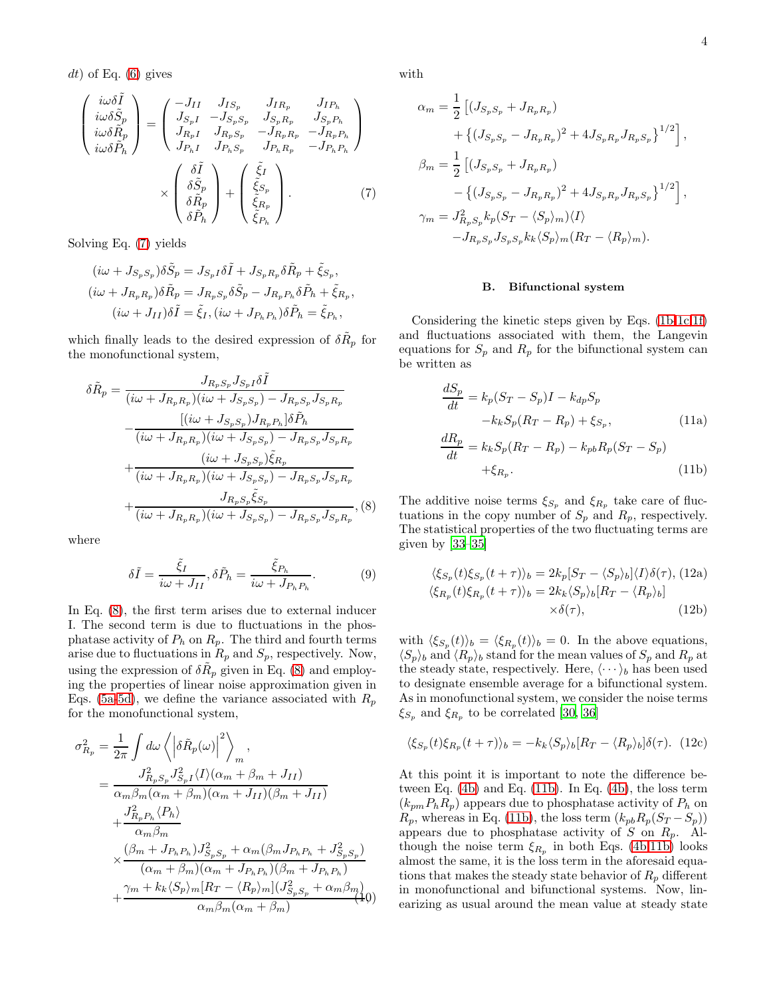$dt$ ) of Eq.  $(6)$  gives

<span id="page-3-0"></span>
$$
\begin{pmatrix}\ni\omega\delta\tilde{I} \\
i\omega\delta\tilde{S}_{p} \\
i\omega\delta\tilde{R}_{p} \\
i\omega\delta\tilde{P}_{h}\n\end{pmatrix} = \begin{pmatrix}\n-J_{II} & J_{IS_{p}} & J_{IR_{p}} & J_{IP_{h}} \\
J_{S_{p}I} & -J_{S_{p}S_{p}} & J_{S_{p}R_{p}} & J_{S_{p}P_{h}} \\
J_{R_{p}I} & J_{R_{p}S_{p}} & -J_{R_{p}R_{p}} & -J_{R_{p}P_{h}} \\
J_{P_{h}I} & J_{P_{h}S_{p}} & J_{P_{h}R_{p}} & -J_{P_{h}P_{h}}\n\end{pmatrix}
$$
\n
$$
\times \begin{pmatrix}\n\delta\tilde{I} \\
\delta\tilde{S}_{p} \\
\delta\tilde{R}_{p} \\
\delta\tilde{P}_{h}\n\end{pmatrix} + \begin{pmatrix}\n\tilde{\xi}_{I} \\
\tilde{\xi}_{S_{p}} \\
\tilde{\xi}_{R_{p}} \\
\tilde{\xi}_{R_{p}} \\
\tilde{\xi}_{R_{p}}\n\end{pmatrix} .
$$
\n(7)

Solving Eq. [\(7\)](#page-3-0) yields

$$
(i\omega + J_{S_p S_p})\delta \tilde{S}_p = J_{S_p I} \delta \tilde{I} + J_{S_p R_p} \delta \tilde{R}_p + \tilde{\xi}_{S_p},
$$
  
\n
$$
(i\omega + J_{R_p R_p})\delta \tilde{R}_p = J_{R_p S_p} \delta \tilde{S}_p - J_{R_p P_h} \delta \tilde{P}_h + \tilde{\xi}_{R_p},
$$
  
\n
$$
(i\omega + J_{II})\delta \tilde{I} = \tilde{\xi}_I, (i\omega + J_{P_h P_h})\delta \tilde{P}_h = \tilde{\xi}_{P_h},
$$

which finally leads to the desired expression of  $\delta \tilde{R}_p$  for the monofunctional system,

<span id="page-3-1"></span>
$$
\delta \tilde{R}_{p} = \frac{J_{R_{p}S_{p}} J_{S_{p}} I \delta \tilde{I}}{(i\omega + J_{R_{p}R_{p}})(i\omega + J_{S_{p}S_{p}}) - J_{R_{p}S_{p}} J_{S_{p}R_{p}}}
$$

$$
- \frac{[(i\omega + J_{S_{p}S_{p}}) J_{R_{p}} P_{h}] \delta \tilde{P}_{h}}{(i\omega + J_{R_{p}R_{p}})(i\omega + J_{S_{p}S_{p}}) - J_{R_{p}S_{p}} J_{S_{p}R_{p}}
$$

$$
+ \frac{(i\omega + J_{S_{p}S_{p}}) \tilde{\xi}_{R_{p}}}{(i\omega + J_{R_{p}R_{p}})(i\omega + J_{S_{p}S_{p}}) - J_{R_{p}S_{p}} J_{S_{p}R_{p}}
$$

$$
+ \frac{J_{R_{p}S_{p}} \tilde{\xi}_{S_{p}}}{(i\omega + J_{R_{p}R_{p}})(i\omega + J_{S_{p}S_{p}}) - J_{R_{p}S_{p}} J_{S_{p}R_{p}}}, (8)
$$

where

<span id="page-3-3"></span>
$$
\delta \tilde{I} = \frac{\tilde{\xi}_I}{i\omega + J_{II}}, \delta \tilde{P}_h = \frac{\tilde{\xi}_{P_h}}{i\omega + J_{P_h P_h}}.
$$
 (9)

In Eq. [\(8\)](#page-3-1), the first term arises due to external inducer I. The second term is due to fluctuations in the phosphatase activity of  $P_h$  on  $R_p$ . The third and fourth terms arise due to fluctuations in  $R_p$  and  $S_p$ , respectively. Now, using the expression of  $\delta \tilde{R}_p$  given in Eq. [\(8\)](#page-3-1) and employing the properties of linear noise approximation given in Eqs. [\(5a](#page-2-4)[-5d\)](#page-2-5), we define the variance associated with  $R_p$ for the monofunctional system,

<span id="page-3-6"></span>
$$
\sigma_{R_p}^2 = \frac{1}{2\pi} \int d\omega \left\langle \left| \delta \tilde{R}_p(\omega) \right|^2 \right\rangle_m,
$$
  
\n
$$
= \frac{J_{R_p S_p}^2 J_{S_p I}^2 \langle I \rangle (\alpha_m + \beta_m + J_{II})}{\alpha_m \beta_m (\alpha_m + \beta_m)(\alpha_m + J_{II})(\beta_m + J_{II})} + \frac{J_{R_p P_h}^2 \langle P_h \rangle}{\alpha_m \beta_m}
$$
  
\n
$$
\times \frac{(\beta_m + J_{P_h P_h}) J_{S_p S_p}^2 + \alpha_m (\beta_m J_{P_h P_h} + J_{S_p S_p}^2)}{(\alpha_m + \beta_m)(\alpha_m + J_{P_h P_h})(\beta_m + J_{P_h P_h})} + \frac{\gamma_m + k_k \langle S_p \rangle_m [R_T - \langle R_p \rangle_m] (J_{S_p S_p}^2 + \alpha_m \beta_m)}{\alpha_m \beta_m (\alpha_m + \beta_m)} \tag{40}
$$

with

$$
\alpha_m = \frac{1}{2} \left[ (J_{S_p S_p} + J_{R_p R_p}) + \left\{ (J_{S_p S_p} - J_{R_p R_p})^2 + 4J_{S_p R_p} J_{R_p S_p} \right\}^{1/2} \right],
$$
  
\n
$$
\beta_m = \frac{1}{2} \left[ (J_{S_p S_p} + J_{R_p R_p}) - \left\{ (J_{S_p S_p} - J_{R_p R_p})^2 + 4J_{S_p R_p} J_{R_p S_p} \right\}^{1/2} \right],
$$
  
\n
$$
\gamma_m = J_{R_p S_p}^2 k_p (S_T - \langle S_p \rangle_m) \langle I \rangle - J_{R_p S_p} J_{S_p S_p} k_k \langle S_p \rangle_m (R_T - \langle R_p \rangle_m).
$$

#### B. Bifunctional system

Considering the kinetic steps given by Eqs. [\(1b-1c,1f\)](#page-1-1) and fluctuations associated with them, the Langevin equations for  $S_p$  and  $R_p$  for the bifunctional system can be written as

<span id="page-3-2"></span>
$$
\frac{dS_p}{dt} = k_p(S_T - S_p)I - k_{dp}S_p
$$

$$
-k_k S_p(R_T - R_p) + \xi_{S_p},
$$
(11a)  

$$
\frac{dR_p}{dt} = k_k S_p(R_T - R_p) - k_{pb}R_p(S_T - S_p)
$$

$$
+ \xi_{R_p}.
$$
(11b)

The additive noise terms  $\xi_{S_p}$  and  $\xi_{R_p}$  take care of fluctuations in the copy number of  $S_p$  and  $R_p$ , respectively. The statistical properties of the two fluctuating terms are given by [\[33](#page-10-8)[–35\]](#page-10-9)

<span id="page-3-4"></span>
$$
\langle \xi_{S_p}(t)\xi_{S_p}(t+\tau)\rangle_b = 2k_p[S_T - \langle S_p\rangle_b]\langle I\rangle\delta(\tau), (12a)
$$
  

$$
\langle \xi_{R_p}(t)\xi_{R_p}(t+\tau)\rangle_b = 2k_k\langle S_p\rangle_b[R_T - \langle R_p\rangle_b]
$$
  

$$
\times \delta(\tau), (12b)
$$

with  $\langle \xi_{S_p}(t) \rangle_b = \langle \xi_{R_p}(t) \rangle_b = 0$ . In the above equations,  $\langle S_p \rangle_b$  and  $\langle R_p \rangle_b$  stand for the mean values of  $S_p$  and  $R_p$  at the steady state, respectively. Here,  $\langle \cdots \rangle_b$  has been used to designate ensemble average for a bifunctional system. As in monofunctional system, we consider the noise terms  $\xi_{S_p}$  and  $\xi_{R_p}$  to be correlated [\[30,](#page-10-6) [36](#page-10-10)]

<span id="page-3-5"></span>
$$
\langle \xi_{S_p}(t)\xi_{R_p}(t+\tau)\rangle_b = -k_k \langle S_p\rangle_b [R_T - \langle R_p\rangle_b] \delta(\tau). \tag{12c}
$$

At this point it is important to note the difference between Eq. [\(4b\)](#page-2-2) and Eq. [\(11b\)](#page-3-2). In Eq. [\(4b\)](#page-2-2), the loss term  $(k_{pm}P_hR_p)$  appears due to phosphatase activity of  $P_h$  on  $R_p$ , whereas in Eq. [\(11b\)](#page-3-2), the loss term  $(k_{pb}R_p(S_T-S_p))$ appears due to phosphatase activity of  $S$  on  $R_p$ . Although the noise term  $\xi_{R_p}$  in both Eqs. [\(4b,](#page-2-2)[11b\)](#page-3-2) looks almost the same, it is the loss term in the aforesaid equations that makes the steady state behavior of  $R_p$  different in monofunctional and bifunctional systems. Now, linearizing as usual around the mean value at steady state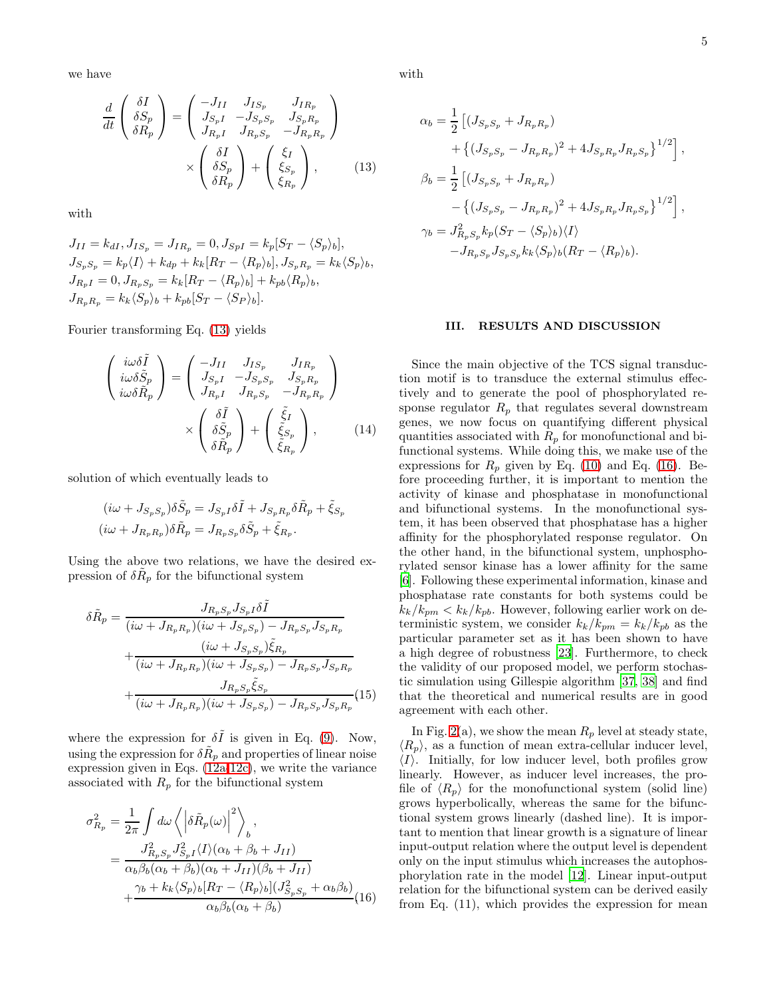we have

<span id="page-4-0"></span>
$$
\frac{d}{dt} \begin{pmatrix} \delta I \\ \delta S_p \\ \delta R_p \end{pmatrix} = \begin{pmatrix} -J_{II} & J_{IS_p} & J_{IR_p} \\ J_{S_pI} & -J_{S_pS_p} & J_{S_pR_p} \\ J_{R_pI} & J_{R_pS_p} & -J_{R_pR_p} \end{pmatrix}
$$

$$
\times \begin{pmatrix} \delta I \\ \delta S_p \\ \delta R_p \end{pmatrix} + \begin{pmatrix} \xi_I \\ \xi_{S_p} \\ \xi_{R_p} \end{pmatrix}, \qquad (13)
$$

with

$$
J_{II} = k_{dI}, J_{IS_p} = J_{IR_p} = 0, J_{SpI} = k_p[S_T - \langle S_p \rangle_b],
$$
  
\n
$$
J_{S_p S_p} = k_p \langle I \rangle + k_{dp} + k_k [R_T - \langle R_p \rangle_b], J_{S_p R_p} = k_k \langle S_p \rangle_b,
$$
  
\n
$$
J_{R_p I} = 0, J_{R_p S_p} = k_k [R_T - \langle R_p \rangle_b] + k_{pb} \langle R_p \rangle_b,
$$
  
\n
$$
J_{R_p R_p} = k_k \langle S_p \rangle_b + k_{pb} [S_T - \langle S_p \rangle_b].
$$

Fourier transforming Eq. [\(13\)](#page-4-0) yields

$$
\begin{pmatrix}\ni\omega\delta\tilde{I} \\
i\omega\delta\tilde{S}_p \\
i\omega\delta\tilde{R}_p\n\end{pmatrix} = \begin{pmatrix}\n-J_{II} & J_{IS_p} & J_{IR_p} \\
J_{S_pI} & -J_{S_pS_p} & J_{S_pR_p} \\
J_{R_pI} & J_{R_pS_p} & -J_{R_pR_p}\n\end{pmatrix} \times \begin{pmatrix}\n\delta\tilde{I} \\
\delta\tilde{S}_p \\
\delta\tilde{R}_p\n\end{pmatrix} + \begin{pmatrix}\n\tilde{\xi}_I \\
\tilde{\xi}_{S_p} \\
\tilde{\xi}_{R_p}\n\end{pmatrix},
$$
\n(14)

solution of which eventually leads to

$$
(i\omega + J_{S_p S_p})\delta \tilde{S}_p = J_{S_p I} \delta \tilde{I} + J_{S_p R_p} \delta \tilde{R}_p + \tilde{\xi}_{S_p}
$$
  

$$
(i\omega + J_{R_p R_p})\delta \tilde{R}_p = J_{R_p S_p} \delta \tilde{S}_p + \tilde{\xi}_{R_p}.
$$

Using the above two relations, we have the desired expression of  $\delta \tilde{R}_p$  for the bifunctional system

$$
\delta \tilde{R}_p = \frac{J_{R_p S_p} J_{S_p I} \delta \tilde{I}}{(i\omega + J_{R_p R_p})(i\omega + J_{S_p S_p}) - J_{R_p S_p} J_{S_p R_p}}
$$

$$
+ \frac{(i\omega + J_{S_p S_p})\tilde{\xi}_{R_p}}{(i\omega + J_{R_p R_p})(i\omega + J_{S_p S_p}) - J_{R_p S_p} J_{S_p R_p}}
$$

$$
+ \frac{J_{R_p S_p} \tilde{\xi}_{S_p}}{(i\omega + J_{R_p R_p})(i\omega + J_{S_p S_p}) - J_{R_p S_p} J_{S_p R_p}} (15)
$$

where the expression for  $\delta\tilde{I}$  is given in Eq. [\(9\)](#page-3-3). Now, using the expression for  $\delta \tilde R_p$  and properties of linear noise expression given in Eqs. [\(12a](#page-3-4)[-12c\)](#page-3-5), we write the variance associated with  $R_p$  for the bifunctional system

<span id="page-4-1"></span>
$$
\sigma_{R_p}^2 = \frac{1}{2\pi} \int d\omega \left\langle \left| \delta \tilde{R}_p(\omega) \right|^2 \right\rangle_b,
$$
  
\n
$$
= \frac{J_{R_p S_p}^2 J_{S_p I}^2 \langle I \rangle (\alpha_b + \beta_b + J_{II})}{\alpha_b \beta_b (\alpha_b + \beta_b)(\alpha_b + J_{II})(\beta_b + J_{II})} + \frac{\gamma_b + k_k \langle S_p \rangle_b [R_T - \langle R_p \rangle_b] (J_{S_p S_p}^2 + \alpha_b \beta_b)}{\alpha_b \beta_b (\alpha_b + \beta_b)} (16)
$$

with

$$
\alpha_b = \frac{1}{2} \left[ (J_{S_p S_p} + J_{R_p R_p}) + \left\{ (J_{S_p S_p} - J_{R_p R_p})^2 + 4J_{S_p R_p} J_{R_p S_p} \right\}^{1/2} \right],
$$
  
\n
$$
\beta_b = \frac{1}{2} \left[ (J_{S_p S_p} + J_{R_p R_p}) - \left\{ (J_{S_p S_p} - J_{R_p R_p})^2 + 4J_{S_p R_p} J_{R_p S_p} \right\}^{1/2} \right],
$$
  
\n
$$
\gamma_b = J_{R_p S_p}^2 k_p (S_T - \langle S_p \rangle_b) \langle I \rangle - J_{R_p S_p} J_{S_p S_p} k_k \langle S_p \rangle_b (R_T - \langle R_p \rangle_b).
$$

### III. RESULTS AND DISCUSSION

Since the main objective of the TCS signal transduction motif is to transduce the external stimulus effectively and to generate the pool of phosphorylated response regulator  $R_p$  that regulates several downstream genes, we now focus on quantifying different physical quantities associated with  $R_p$  for monofunctional and bifunctional systems. While doing this, we make use of the expressions for  $R_p$  given by Eq. [\(10\)](#page-3-6) and Eq. [\(16\)](#page-4-1). Before proceeding further, it is important to mention the activity of kinase and phosphatase in monofunctional and bifunctional systems. In the monofunctional system, it has been observed that phosphatase has a higher affinity for the phosphorylated response regulator. On the other hand, in the bifunctional system, unphosphorylated sensor kinase has a lower affinity for the same [\[6\]](#page-9-3). Following these experimental information, kinase and phosphatase rate constants for both systems could be  $k_k/k_{pm} < k_k/k_{pb}$ . However, following earlier work on deterministic system, we consider  $k_k/k_{pm} = k_k/k_{pb}$  as the particular parameter set as it has been shown to have a high degree of robustness [\[23\]](#page-10-11). Furthermore, to check the validity of our proposed model, we perform stochastic simulation using Gillespie algorithm [\[37](#page-10-12), [38](#page-10-13)] and find that the theoretical and numerical results are in good agreement with each other.

In Fig. [2\(](#page-5-0)a), we show the mean  $R_p$  level at steady state,  $\langle R_p \rangle$ , as a function of mean extra-cellular inducer level,  $\langle I \rangle$ . Initially, for low inducer level, both profiles grow linearly. However, as inducer level increases, the profile of  $\langle R_p \rangle$  for the monofunctional system (solid line) grows hyperbolically, whereas the same for the bifunctional system grows linearly (dashed line). It is important to mention that linear growth is a signature of linear input-output relation where the output level is dependent only on the input stimulus which increases the autophosphorylation rate in the model [\[12\]](#page-9-10). Linear input-output relation for the bifunctional system can be derived easily from Eq. (11), which provides the expression for mean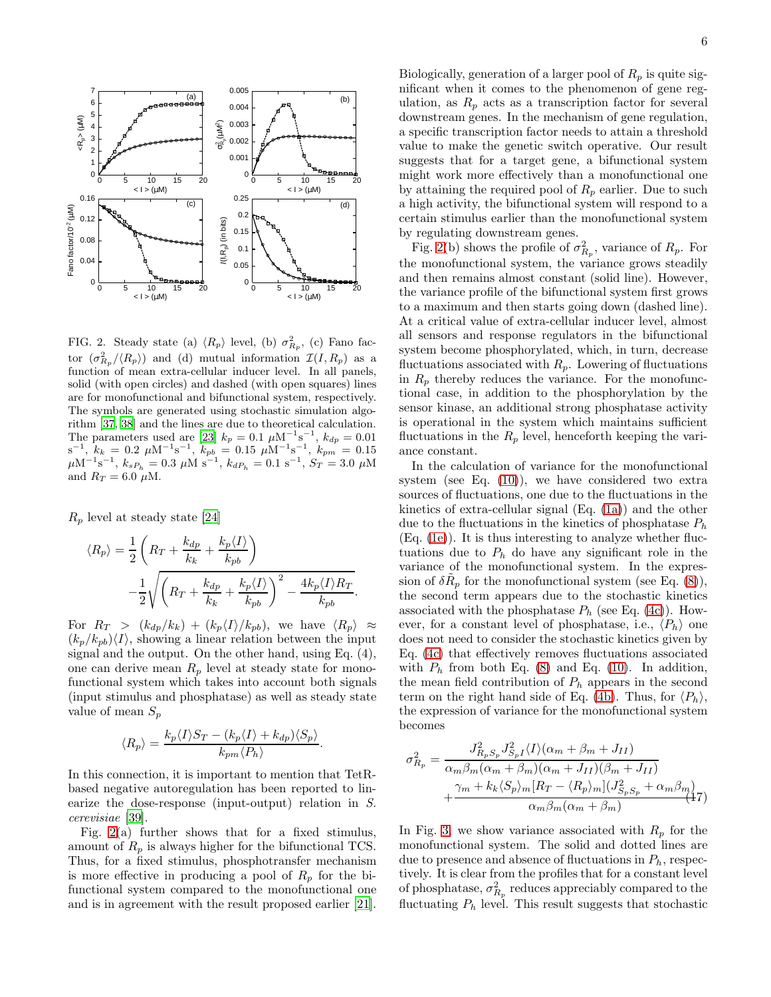

<span id="page-5-0"></span>FIG. 2. Steady state (a)  $\langle R_p \rangle$  level, (b)  $\sigma_{R_p}^2$ , (c) Fano factor  $(\sigma_{R_p}^2/\langle R_p\rangle)$  and (d) mutual information  $\mathcal{I}(I, R_p)$  as a function of mean extra-cellular inducer level. In all panels, solid (with open circles) and dashed (with open squares) lines are for monofunctional and bifunctional system, respectively. The symbols are generated using stochastic simulation algorithm [\[37](#page-10-12), [38](#page-10-13)] and the lines are due to theoretical calculation. The parameters used are [\[23\]](#page-10-11)  $k_p = 0.1 \ \mu \text{M}^{-1} \text{s}^{-1}$ ,  $k_{dp} = 0.01$  $s^{-1}$ ,  $k_k = 0.2 \mu M^{-1} s^{-1}$ ,  $k_{pb} = 0.15 \mu M^{-1} s^{-1}$ ,  $k_{pm} = 0.15 \mu M^{-1} s^{-1}$ ,  $k_{pm} = 0.15 \mu M^{-1} s^{-1}$ ,  $k_{sp} = 0.15 \mu M^{-1} s^{-1}$ ,  $k_{sp} = 0.0$ and  $R_T = 6.0 \mu M$ .

 $R_p$  level at steady state [\[24\]](#page-10-1)

$$
\langle R_p \rangle = \frac{1}{2} \left( R_T + \frac{k_{dp}}{k_k} + \frac{k_p \langle I \rangle}{k_{pb}} \right)
$$

$$
- \frac{1}{2} \sqrt{\left( R_T + \frac{k_{dp}}{k_k} + \frac{k_p \langle I \rangle}{k_{pb}} \right)^2 - \frac{4k_p \langle I \rangle R_T}{k_{pb}}}.
$$

For  $R_T > (k_{dp}/k_k) + (k_p\langle I \rangle / k_{pb}),$  we have  $\langle R_p \rangle \approx$  $(k_p/k_{ph})\langle I\rangle$ , showing a linear relation between the input signal and the output. On the other hand, using Eq. (4), one can derive mean  $R_p$  level at steady state for monofunctional system which takes into account both signals (input stimulus and phosphatase) as well as steady state value of mean  $S_p$ 

$$
\langle R_p \rangle = \frac{k_p \langle I \rangle S_T - (k_p \langle I \rangle + k_{dp}) \langle S_p \rangle}{k_{pm} \langle P_h \rangle}
$$

.

In this connection, it is important to mention that TetRbased negative autoregulation has been reported to linearize the dose-response (input-output) relation in S. cerevisiae [\[39](#page-10-14)].

Fig. [2\(](#page-5-0)a) further shows that for a fixed stimulus, amount of  $R_p$  is always higher for the bifunctional TCS. Thus, for a fixed stimulus, phosphotransfer mechanism is more effective in producing a pool of  $R_p$  for the bifunctional system compared to the monofunctional one and is in agreement with the result proposed earlier [\[21\]](#page-10-0).

Biologically, generation of a larger pool of  $R_p$  is quite significant when it comes to the phenomenon of gene regulation, as  $R_p$  acts as a transcription factor for several downstream genes. In the mechanism of gene regulation, a specific transcription factor needs to attain a threshold value to make the genetic switch operative. Our result suggests that for a target gene, a bifunctional system might work more effectively than a monofunctional one by attaining the required pool of  $R_p$  earlier. Due to such a high activity, the bifunctional system will respond to a certain stimulus earlier than the monofunctional system by regulating downstream genes.

Fig. [2\(](#page-5-0)b) shows the profile of  $\sigma_{R_p}^2$ , variance of  $R_p$ . For the monofunctional system, the variance grows steadily and then remains almost constant (solid line). However, the variance profile of the bifunctional system first grows to a maximum and then starts going down (dashed line). At a critical value of extra-cellular inducer level, almost all sensors and response regulators in the bifunctional system become phosphorylated, which, in turn, decrease fluctuations associated with  $R_p$ . Lowering of fluctuations in  $R_p$  thereby reduces the variance. For the monofunctional case, in addition to the phosphorylation by the sensor kinase, an additional strong phosphatase activity is operational in the system which maintains sufficient fluctuations in the  $R_p$  level, henceforth keeping the variance constant.

In the calculation of variance for the monofunctional system (see Eq.  $(10)$ ), we have considered two extra sources of fluctuations, one due to the fluctuations in the kinetics of extra-cellular signal (Eq. [\(1a\)](#page-1-1)) and the other due to the fluctuations in the kinetics of phosphatase  $P_h$ (Eq. [\(1e\)](#page-1-1)). It is thus interesting to analyze whether fluctuations due to  $P_h$  do have any significant role in the variance of the monofunctional system. In the expression of  $\delta \tilde{R}_p$  for the monofunctional system (see Eq. [\(8\)](#page-3-1)), the second term appears due to the stochastic kinetics associated with the phosphatase  $P_h$  (see Eq. [\(4c\)](#page-2-2)). However, for a constant level of phosphatase, i.e.,  $\langle P_h \rangle$  one does not need to consider the stochastic kinetics given by Eq. [\(4c\)](#page-2-2) that effectively removes fluctuations associated with  $P_h$  from both Eq. [\(8\)](#page-3-1) and Eq. [\(10\)](#page-3-6). In addition, the mean field contribution of  $P_h$  appears in the second term on the right hand side of Eq. [\(4b\)](#page-2-2). Thus, for  $\langle P_h \rangle$ , the expression of variance for the monofunctional system becomes

$$
\sigma_{R_p}^2 = \frac{J_{R_p S_p}^2 J_{S_p I}^2 \langle I \rangle (\alpha_m + \beta_m + J_{II})}{\alpha_m \beta_m (\alpha_m + \beta_m)(\alpha_m + J_{II})(\beta_m + J_{II})} + \frac{\gamma_m + k_k \langle S_p \rangle_m [R_T - \langle R_p \rangle_m] (J_{S_p S_p}^2 + \alpha_m \beta_m)}{\alpha_m \beta_m (\alpha_m + \beta_m)} \tag{17}
$$

In Fig. [3,](#page-6-0) we show variance associated with  $R_p$  for the monofunctional system. The solid and dotted lines are due to presence and absence of fluctuations in  $P_h$ , respectively. It is clear from the profiles that for a constant level of phosphatase,  $\sigma_{R_p}^2$  reduces appreciably compared to the fluctuating  $P_h$  level. This result suggests that stochastic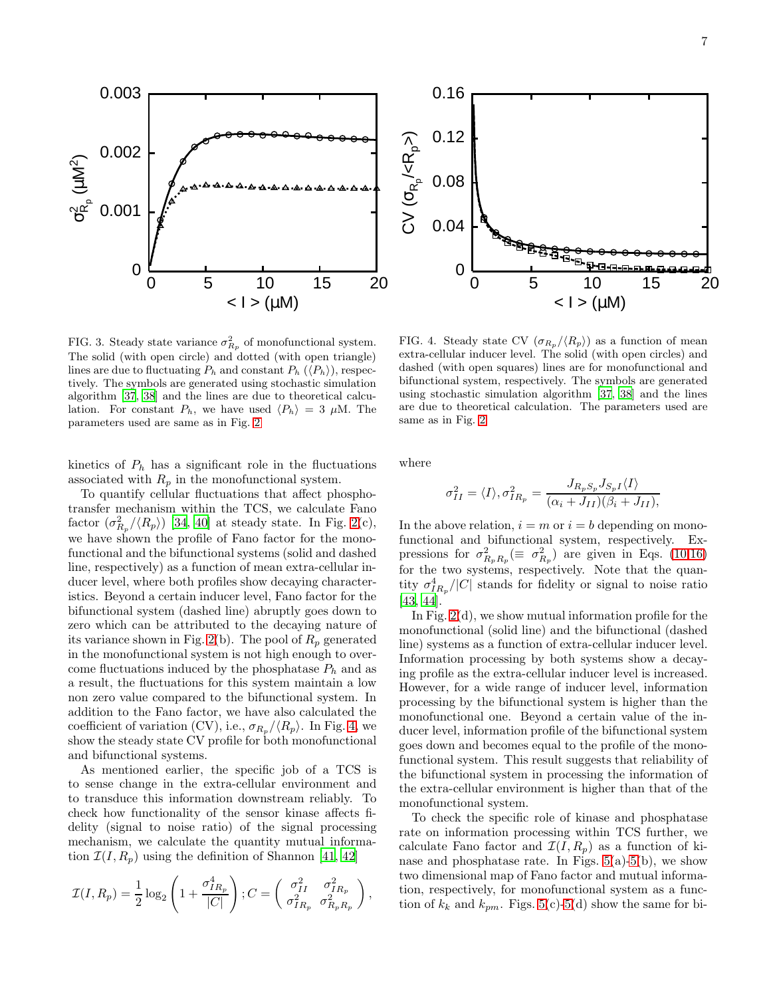

<span id="page-6-0"></span>FIG. 3. Steady state variance  $\sigma_{R_p}^2$  of monofunctional system. The solid (with open circle) and dotted (with open triangle) lines are due to fluctuating  $P_h$  and constant  $P_h$   $(\langle P_h \rangle)$ , respectively. The symbols are generated using stochastic simulation algorithm [\[37,](#page-10-12) [38](#page-10-13)] and the lines are due to theoretical calculation. For constant  $P_h$ , we have used  $\langle P_h \rangle = 3 \mu M$ . The parameters used are same as in Fig. [2](#page-5-0)

kinetics of  $P_h$  has a significant role in the fluctuations associated with  $R_p$  in the monofunctional system.

To quantify cellular fluctuations that affect phosphotransfer mechanism within the TCS, we calculate Fano factor  $(\sigma_{R_p}^2/\langle R_p \rangle)$  [\[34,](#page-10-15) [40\]](#page-10-16) at steady state. In Fig. [2\(](#page-5-0)c), we have shown the profile of Fano factor for the monofunctional and the bifunctional systems (solid and dashed line, respectively) as a function of mean extra-cellular inducer level, where both profiles show decaying characteristics. Beyond a certain inducer level, Fano factor for the bifunctional system (dashed line) abruptly goes down to zero which can be attributed to the decaying nature of its variance shown in Fig. [2\(](#page-5-0)b). The pool of  $R_p$  generated in the monofunctional system is not high enough to overcome fluctuations induced by the phosphatase  $P_h$  and as a result, the fluctuations for this system maintain a low non zero value compared to the bifunctional system. In addition to the Fano factor, we have also calculated the coefficient of variation (CV), i.e.,  $\sigma_{R_p}/\langle R_p \rangle$ . In Fig. [4,](#page-6-1) we show the steady state CV profile for both monofunctional and bifunctional systems.

As mentioned earlier, the specific job of a TCS is to sense change in the extra-cellular environment and to transduce this information downstream reliably. To check how functionality of the sensor kinase affects fidelity (signal to noise ratio) of the signal processing mechanism, we calculate the quantity mutual information  $\mathcal{I}(I, R_p)$  using the definition of Shannon [\[41](#page-10-17), [42\]](#page-10-18)

$$
\mathcal{I}(I, R_p) = \frac{1}{2} \log_2 \left( 1 + \frac{\sigma_{IR_p}^4}{|C|} \right); C = \begin{pmatrix} \sigma_{II}^2 & \sigma_{IR_p}^2 \\ \sigma_{IR_p}^2 & \sigma_{R_pR_p}^2 \end{pmatrix},
$$

<span id="page-6-1"></span>FIG. 4. Steady state CV  $(\sigma_{R_p}/\langle R_p\rangle)$  as a function of mean extra-cellular inducer level. The solid (with open circles) and dashed (with open squares) lines are for monofunctional and bifunctional system, respectively. The symbols are generated using stochastic simulation algorithm [\[37](#page-10-12), [38\]](#page-10-13) and the lines are due to theoretical calculation. The parameters used are same as in Fig. [2](#page-5-0)

where

$$
\sigma_{II}^2 = \langle I \rangle, \sigma_{IR_p}^2 = \frac{J_{R_p S_p} J_{S_p I} \langle I \rangle}{(\alpha_i + J_{II})(\beta_i + J_{II})},
$$

In the above relation,  $i = m$  or  $i = b$  depending on monofunctional and bifunctional system, respectively. Expressions for  $\sigma_{R_p R_p}^2 (\equiv \sigma_{R_p}^2)$  are given in Eqs. [\(10,](#page-3-6)[16\)](#page-4-1) for the two systems, respectively. Note that the quantity  $\sigma_{IR_p}^4/|C|$  stands for fidelity or signal to noise ratio [\[43,](#page-10-19) [44\]](#page-10-20).

In Fig.  $2(d)$ , we show mutual information profile for the monofunctional (solid line) and the bifunctional (dashed line) systems as a function of extra-cellular inducer level. Information processing by both systems show a decaying profile as the extra-cellular inducer level is increased. However, for a wide range of inducer level, information processing by the bifunctional system is higher than the monofunctional one. Beyond a certain value of the inducer level, information profile of the bifunctional system goes down and becomes equal to the profile of the monofunctional system. This result suggests that reliability of the bifunctional system in processing the information of the extra-cellular environment is higher than that of the monofunctional system.

To check the specific role of kinase and phosphatase rate on information processing within TCS further, we calculate Fano factor and  $\mathcal{I}(I, R_p)$  as a function of kinase and phosphatase rate. In Figs.  $5(a)-5(b)$  $5(a)-5(b)$  $5(a)-5(b)$ , we show two dimensional map of Fano factor and mutual information, respectively, for monofunctional system as a function of  $k_k$  and  $k_{pm}$ . Figs. [5\(](#page-7-0)c)[-5\(](#page-7-0)d) show the same for bi-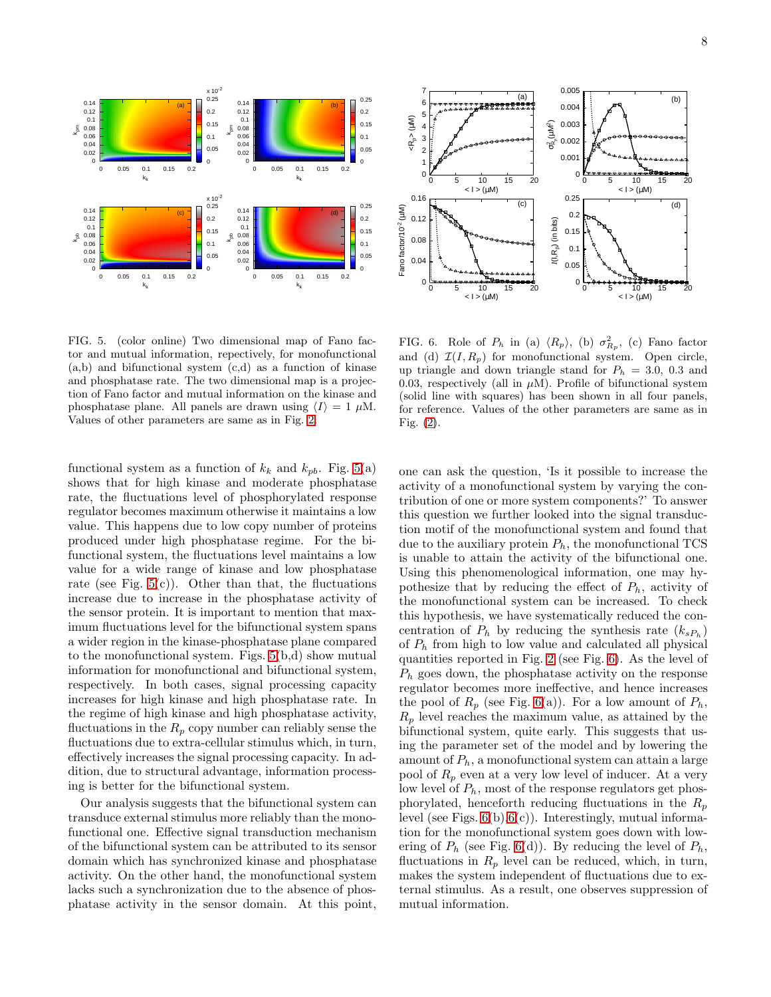



<span id="page-7-0"></span>FIG. 5. (color online) Two dimensional map of Fano factor and mutual information, repectively, for monofunctional (a,b) and bifunctional system (c,d) as a function of kinase and phosphatase rate. The two dimensional map is a projection of Fano factor and mutual information on the kinase and phosphatase plane. All panels are drawn using  $\langle I \rangle = 1 \mu M$ . Values of other parameters are same as in Fig. [2.](#page-5-0)

functional system as a function of  $k_k$  and  $k_{pb}$ . Fig. [5\(](#page-7-0)a) shows that for high kinase and moderate phosphatase rate, the fluctuations level of phosphorylated response regulator becomes maximum otherwise it maintains a low value. This happens due to low copy number of proteins produced under high phosphatase regime. For the bifunctional system, the fluctuations level maintains a low value for a wide range of kinase and low phosphatase rate (see Fig.  $5(c)$ ). Other than that, the fluctuations increase due to increase in the phosphatase activity of the sensor protein. It is important to mention that maximum fluctuations level for the bifunctional system spans a wider region in the kinase-phosphatase plane compared to the monofunctional system. Figs. [5\(](#page-7-0)b,d) show mutual information for monofunctional and bifunctional system, respectively. In both cases, signal processing capacity increases for high kinase and high phosphatase rate. In the regime of high kinase and high phosphatase activity, fluctuations in the  $R_p$  copy number can reliably sense the fluctuations due to extra-cellular stimulus which, in turn, effectively increases the signal processing capacity. In addition, due to structural advantage, information processing is better for the bifunctional system.

Our analysis suggests that the bifunctional system can transduce external stimulus more reliably than the monofunctional one. Effective signal transduction mechanism of the bifunctional system can be attributed to its sensor domain which has synchronized kinase and phosphatase activity. On the other hand, the monofunctional system lacks such a synchronization due to the absence of phosphatase activity in the sensor domain. At this point,

<span id="page-7-1"></span>FIG. 6. Role of  $P_h$  in (a)  $\langle R_p \rangle$ , (b)  $\sigma_{R_p}^2$ , (c) Fano factor and (d)  $\mathcal{I}(I, R_p)$  for monofunctional system. Open circle, up triangle and down triangle stand for  $P_h = 3.0, 0.3$  and 0.03, respectively (all in  $\mu$ M). Profile of bifunctional system (solid line with squares) has been shown in all four panels, for reference. Values of the other parameters are same as in Fig. [\(2\)](#page-5-0).

one can ask the question, 'Is it possible to increase the activity of a monofunctional system by varying the contribution of one or more system components?' To answer this question we further looked into the signal transduction motif of the monofunctional system and found that due to the auxiliary protein  $P_h$ , the monofunctional TCS is unable to attain the activity of the bifunctional one. Using this phenomenological information, one may hypothesize that by reducing the effect of  $P_h$ , activity of the monofunctional system can be increased. To check this hypothesis, we have systematically reduced the concentration of  $P_h$  by reducing the synthesis rate  $(k_{sP_h})$ of  $P_h$  from high to low value and calculated all physical quantities reported in Fig. [2](#page-5-0) (see Fig. [6\)](#page-7-1). As the level of  $P_h$  goes down, the phosphatase activity on the response regulator becomes more ineffective, and hence increases the pool of  $R_p$  (see Fig. [6\(](#page-7-1)a)). For a low amount of  $P_h$ ,  $R_p$  level reaches the maximum value, as attained by the bifunctional system, quite early. This suggests that using the parameter set of the model and by lowering the amount of  $P_h$ , a monofunctional system can attain a large pool of  $R_p$  even at a very low level of inducer. At a very low level of  $P_h$ , most of the response regulators get phosphorylated, henceforth reducing fluctuations in the  $R_p$ level (see Figs.  $6(b), 6(c)$  $6(b), 6(c)$  $6(b), 6(c)$ ). Interestingly, mutual information for the monofunctional system goes down with lowering of  $P_h$  (see Fig. [6\(](#page-7-1)d)). By reducing the level of  $P_h$ , fluctuations in  $R_p$  level can be reduced, which, in turn, makes the system independent of fluctuations due to external stimulus. As a result, one observes suppression of mutual information.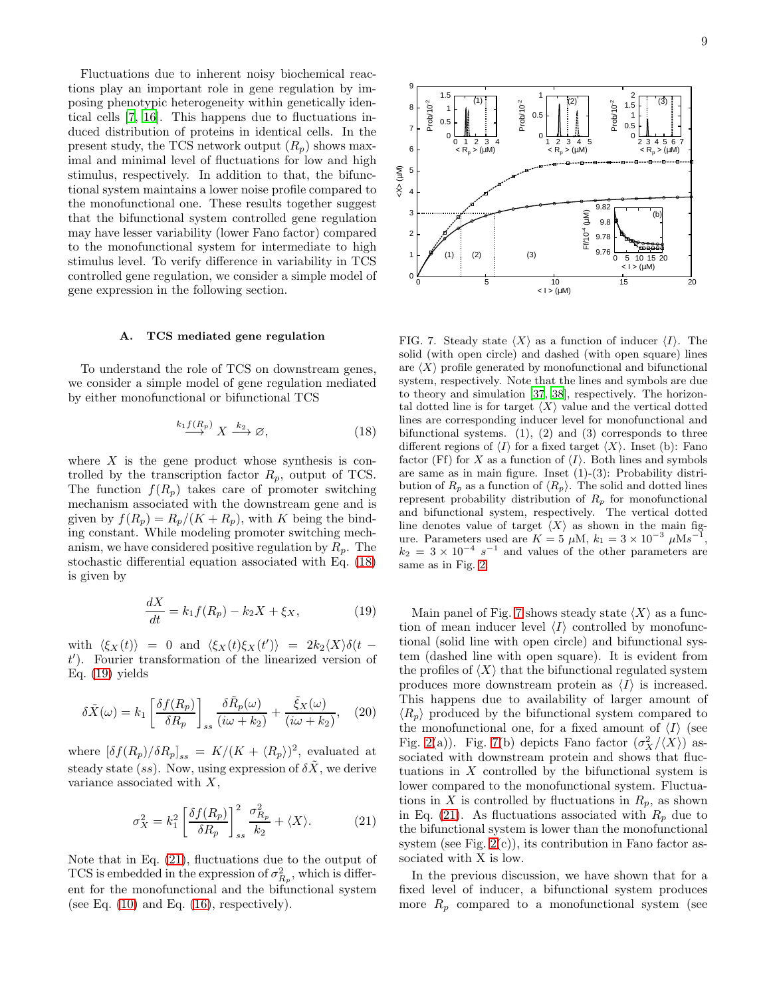Fluctuations due to inherent noisy biochemical reactions play an important role in gene regulation by imposing phenotypic heterogeneity within genetically identical cells [\[7](#page-9-4), [16\]](#page-9-13). This happens due to fluctuations induced distribution of proteins in identical cells. In the present study, the TCS network output  $(R_p)$  shows maximal and minimal level of fluctuations for low and high stimulus, respectively. In addition to that, the bifunctional system maintains a lower noise profile compared to the monofunctional one. These results together suggest that the bifunctional system controlled gene regulation may have lesser variability (lower Fano factor) compared to the monofunctional system for intermediate to high stimulus level. To verify difference in variability in TCS controlled gene regulation, we consider a simple model of gene expression in the following section.

### A. TCS mediated gene regulation

To understand the role of TCS on downstream genes, we consider a simple model of gene regulation mediated by either monofunctional or bifunctional TCS

$$
\stackrel{k_1f(R_p)}{\longrightarrow} X \stackrel{k_2}{\longrightarrow} \varnothing,
$$
\n(18)

where  $X$  is the gene product whose synthesis is controlled by the transcription factor  $R_p$ , output of TCS. The function  $f(R_p)$  takes care of promoter switching mechanism associated with the downstream gene and is given by  $f(R_p) = R_p/(K + R_p)$ , with K being the binding constant. While modeling promoter switching mechanism, we have considered positive regulation by  $R_p$ . The stochastic differential equation associated with Eq. [\(18\)](#page-8-0) is given by

<span id="page-8-1"></span>
$$
\frac{dX}{dt} = k_1 f(R_p) - k_2 X + \xi_X, \qquad (19)
$$

with  $\langle \xi_X(t) \rangle = 0$  and  $\langle \xi_X(t) \xi_X(t') \rangle = 2k_2 \langle X \rangle \delta(t$ t ′ ). Fourier transformation of the linearized version of Eq.  $(19)$  yields

$$
\delta\tilde{X}(\omega) = k_1 \left[ \frac{\delta f(R_p)}{\delta R_p} \right]_{ss} \frac{\delta\tilde{R}_p(\omega)}{(i\omega + k_2)} + \frac{\tilde{\xi}_X(\omega)}{(i\omega + k_2)}, \quad (20)
$$

where  $[\delta f(R_p)/\delta R_p]_{ss} = K/(K + \langle R_p \rangle)^2$ , evaluated at steady state (ss). Now, using expression of  $\delta \tilde{X}$ , we derive variance associated with  $X$ ,

<span id="page-8-2"></span>
$$
\sigma_X^2 = k_1^2 \left[ \frac{\delta f(R_p)}{\delta R_p} \right]_{ss}^2 \frac{\sigma_{R_p}^2}{k_2} + \langle X \rangle.
$$
 (21)

Note that in Eq. [\(21\)](#page-8-2), fluctuations due to the output of TCS is embedded in the expression of  $\sigma_{R_p}^2$ , which is different for the monofunctional and the bifunctional system (see Eq.  $(10)$  and Eq.  $(16)$ , respectively).



<span id="page-8-3"></span><span id="page-8-0"></span>FIG. 7. Steady state  $\langle X \rangle$  as a function of inducer  $\langle I \rangle$ . The solid (with open circle) and dashed (with open square) lines are  $\langle X \rangle$  profile generated by monofunctional and bifunctional system, respectively. Note that the lines and symbols are due to theory and simulation [\[37,](#page-10-12) [38\]](#page-10-13), respectively. The horizontal dotted line is for target  $\langle X \rangle$  value and the vertical dotted lines are corresponding inducer level for monofunctional and bifunctional systems.  $(1)$ ,  $(2)$  and  $(3)$  corresponds to three different regions of  $\langle I \rangle$  for a fixed target  $\langle X \rangle$ . Inset (b): Fano factor (Ff) for X as a function of  $\langle I \rangle$ . Both lines and symbols are same as in main figure. Inset (1)-(3): Probability distribution of  $R_p$  as a function of  $\langle R_p \rangle$ . The solid and dotted lines represent probability distribution of  $R_p$  for monofunctional and bifunctional system, respectively. The vertical dotted line denotes value of target  $\langle X \rangle$  as shown in the main figure. Parameters used are  $K = 5 \mu M$ ,  $k_1 = 3 \times 10^{-3} \mu M s^{-1}$ ,  $k_2 = 3 \times 10^{-4} s^{-1}$  and values of the other parameters are same as in Fig. [2.](#page-5-0)

Main panel of Fig. [7](#page-8-3) shows steady state  $\langle X \rangle$  as a function of mean inducer level  $\langle I \rangle$  controlled by monofunctional (solid line with open circle) and bifunctional system (dashed line with open square). It is evident from the profiles of  $\langle X \rangle$  that the bifunctional regulated system produces more downstream protein as  $\langle I \rangle$  is increased. This happens due to availability of larger amount of  $\langle R_p \rangle$  produced by the bifunctional system compared to the monofunctional one, for a fixed amount of  $\langle I \rangle$  (see Fig. [2\(](#page-5-0)a)). Fig. [7\(](#page-8-3)b) depicts Fano factor  $(\sigma_X^2/\langle X\rangle)$  associated with downstream protein and shows that fluctuations in  $X$  controlled by the bifunctional system is lower compared to the monofunctional system. Fluctuations in X is controlled by fluctuations in  $R_p$ , as shown in Eq. [\(21\)](#page-8-2). As fluctuations associated with  $R_p$  due to the bifunctional system is lower than the monofunctional system (see Fig.  $2(c)$ ), its contribution in Fano factor associated with X is low.

In the previous discussion, we have shown that for a fixed level of inducer, a bifunctional system produces more  $R_p$  compared to a monofunctional system (see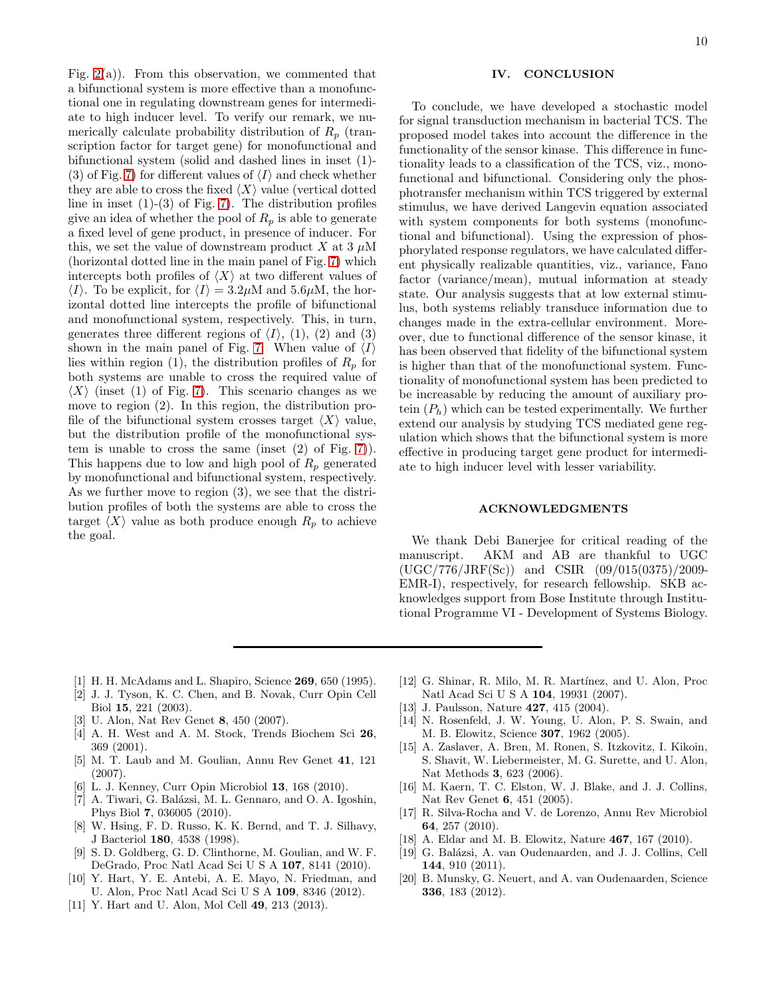Fig.  $2(a)$ ). From this observation, we commented that a bifunctional system is more effective than a monofunctional one in regulating downstream genes for intermediate to high inducer level. To verify our remark, we numerically calculate probability distribution of  $R_p$  (transcription factor for target gene) for monofunctional and bifunctional system (solid and dashed lines in inset (1)- (3) of Fig. [7\)](#page-8-3) for different values of  $\langle I \rangle$  and check whether they are able to cross the fixed  $\langle X \rangle$  value (vertical dotted line in inset  $(1)-(3)$  of Fig. [7\)](#page-8-3). The distribution profiles give an idea of whether the pool of  $R_p$  is able to generate a fixed level of gene product, in presence of inducer. For this, we set the value of downstream product X at 3  $\mu$ M (horizontal dotted line in the main panel of Fig. [7\)](#page-8-3) which intercepts both profiles of  $\langle X \rangle$  at two different values of  $\langle I \rangle$ . To be explicit, for  $\langle I \rangle = 3.2 \mu M$  and 5.6 $\mu$ M, the horizontal dotted line intercepts the profile of bifunctional and monofunctional system, respectively. This, in turn, generates three different regions of  $\langle I \rangle$ , (1), (2) and (3) shown in the main panel of Fig. [7.](#page-8-3) When value of  $\langle I \rangle$ lies within region (1), the distribution profiles of  $R_p$  for both systems are unable to cross the required value of  $\langle X \rangle$  (inset (1) of Fig. [7\)](#page-8-3). This scenario changes as we move to region (2). In this region, the distribution profile of the bifunctional system crosses target  $\langle X \rangle$  value, but the distribution profile of the monofunctional system is unable to cross the same (inset (2) of Fig. [7\)](#page-8-3)). This happens due to low and high pool of  $R_p$  generated by monofunctional and bifunctional system, respectively. As we further move to region (3), we see that the distribution profiles of both the systems are able to cross the target  $\langle X \rangle$  value as both produce enough  $R_p$  to achieve the goal.

# IV. CONCLUSION

To conclude, we have developed a stochastic model for signal transduction mechanism in bacterial TCS. The proposed model takes into account the difference in the functionality of the sensor kinase. This difference in functionality leads to a classification of the TCS, viz., monofunctional and bifunctional. Considering only the phosphotransfer mechanism within TCS triggered by external stimulus, we have derived Langevin equation associated with system components for both systems (monofunctional and bifunctional). Using the expression of phosphorylated response regulators, we have calculated different physically realizable quantities, viz., variance, Fano factor (variance/mean), mutual information at steady state. Our analysis suggests that at low external stimulus, both systems reliably transduce information due to changes made in the extra-cellular environment. Moreover, due to functional difference of the sensor kinase, it has been observed that fidelity of the bifunctional system is higher than that of the monofunctional system. Functionality of monofunctional system has been predicted to be increasable by reducing the amount of auxiliary protein  $(P_h)$  which can be tested experimentally. We further extend our analysis by studying TCS mediated gene regulation which shows that the bifunctional system is more effective in producing target gene product for intermediate to high inducer level with lesser variability.

### ACKNOWLEDGMENTS

We thank Debi Banerjee for critical reading of the manuscript. AKM and AB are thankful to UGC (UGC/776/JRF(Sc)) and CSIR (09/015(0375)/2009- EMR-I), respectively, for research fellowship. SKB acknowledges support from Bose Institute through Institutional Programme VI - Development of Systems Biology.

- <span id="page-9-0"></span>[1] H. H. McAdams and L. Shapiro, Science 269, 650 (1995).
- [2] J. J. Tyson, K. C. Chen, and B. Novak, Curr Opin Cell Biol 15, 221 (2003).
- <span id="page-9-1"></span>[3] U. Alon, Nat Rev Genet 8, 450 (2007).
- <span id="page-9-2"></span>[4] A. H. West and A. M. Stock, Trends Biochem Sci 26, 369 (2001).
- <span id="page-9-5"></span>[5] M. T. Laub and M. Goulian, Annu Rev Genet 41, 121 (2007).
- <span id="page-9-3"></span>[6] L. J. Kenney, Curr Opin Microbiol 13, 168 (2010).
- <span id="page-9-4"></span>[7] A. Tiwari, G. Balázsi, M. L. Gennaro, and O. A. Igoshin, Phys Biol 7, 036005 (2010).
- <span id="page-9-6"></span>[8] W. Hsing, F. D. Russo, K. K. Bernd, and T. J. Silhavy, J Bacteriol 180, 4538 (1998).
- <span id="page-9-7"></span>[9] S. D. Goldberg, G. D. Clinthorne, M. Goulian, and W. F. DeGrado, Proc Natl Acad Sci U S A 107, 8141 (2010).
- <span id="page-9-8"></span>[10] Y. Hart, Y. E. Antebi, A. E. Mayo, N. Friedman, and U. Alon, Proc Natl Acad Sci U S A 109, 8346 (2012).
- <span id="page-9-9"></span>[11] Y. Hart and U. Alon, Mol Cell 49, 213 (2013).
- <span id="page-9-10"></span>[12] G. Shinar, R. Milo, M. R. Martínez, and U. Alon, Proc Natl Acad Sci U S A 104, 19931 (2007).
- <span id="page-9-11"></span>[13] J. Paulsson, Nature **427**, 415 (2004).
- [14] N. Rosenfeld, J. W. Young, U. Alon, P. S. Swain, and M. B. Elowitz, Science 307, 1962 (2005).
- [15] A. Zaslaver, A. Bren, M. Ronen, S. Itzkovitz, I. Kikoin, S. Shavit, W. Liebermeister, M. G. Surette, and U. Alon, Nat Methods 3, 623 (2006).
- <span id="page-9-13"></span>[16] M. Kaern, T. C. Elston, W. J. Blake, and J. J. Collins, Nat Rev Genet 6, 451 (2005).
- [17] R. Silva-Rocha and V. de Lorenzo, Annu Rev Microbiol 64, 257 (2010).
- [18] A. Eldar and M. B. Elowitz, Nature 467, 167 (2010).
- [19] G. Balázsi, A. van Oudenaarden, and J. J. Collins, Cell 144, 910 (2011).
- <span id="page-9-12"></span>[20] B. Munsky, G. Neuert, and A. van Oudenaarden, Science 336, 183 (2012).